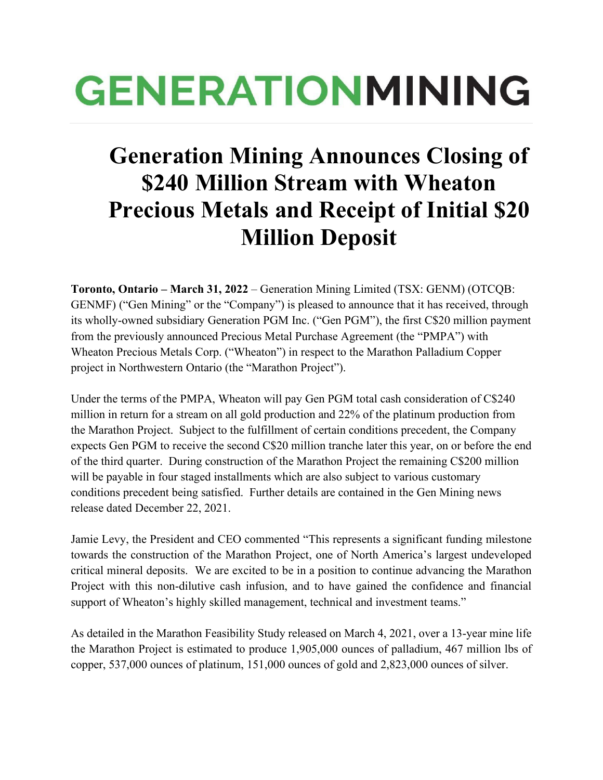# **GENERATIONMINING**

## **Generation Mining Announces Closing of \$240 Million Stream with Wheaton Precious Metals and Receipt of Initial \$20 Million Deposit**

**Toronto, Ontario – March 31, 2022** – Generation Mining Limited (TSX: GENM) (OTCQB: GENMF) ("Gen Mining" or the "Company") is pleased to announce that it has received, through its wholly-owned subsidiary Generation PGM Inc. ("Gen PGM"), the first C\$20 million payment from the previously announced Precious Metal Purchase Agreement (the "PMPA") with Wheaton Precious Metals Corp. ("Wheaton") in respect to the Marathon Palladium Copper project in Northwestern Ontario (the "Marathon Project").

Under the terms of the PMPA, Wheaton will pay Gen PGM total cash consideration of C\$240 million in return for a stream on all gold production and 22% of the platinum production from the Marathon Project. Subject to the fulfillment of certain conditions precedent, the Company expects Gen PGM to receive the second C\$20 million tranche later this year, on or before the end of the third quarter. During construction of the Marathon Project the remaining C\$200 million will be payable in four staged installments which are also subject to various customary conditions precedent being satisfied. Further details are contained in the Gen Mining news release dated December 22, 2021.

Jamie Levy, the President and CEO commented "This represents a significant funding milestone towards the construction of the Marathon Project, one of North America's largest undeveloped critical mineral deposits. We are excited to be in a position to continue advancing the Marathon Project with this non-dilutive cash infusion, and to have gained the confidence and financial support of Wheaton's highly skilled management, technical and investment teams."

As detailed in the Marathon Feasibility Study released on March 4, 2021, over a 13-year mine life the Marathon Project is estimated to produce 1,905,000 ounces of palladium, 467 million lbs of copper, 537,000 ounces of platinum, 151,000 ounces of gold and 2,823,000 ounces of silver.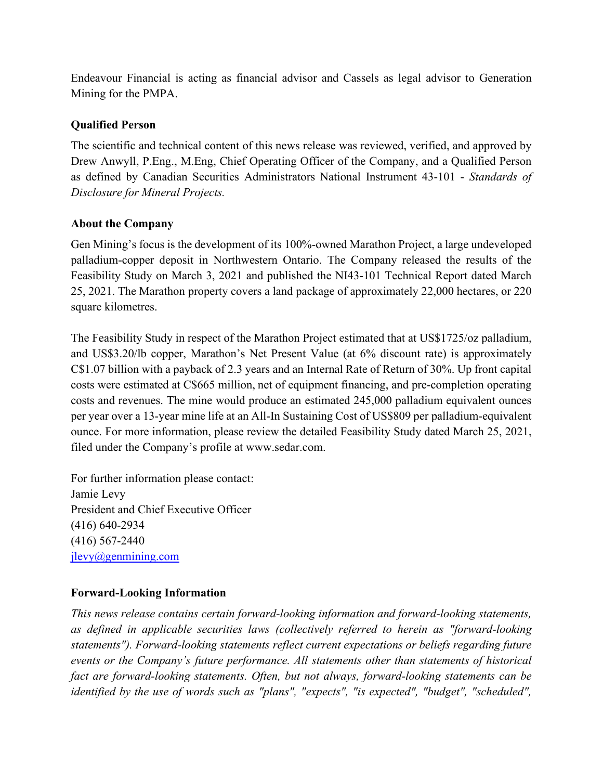Endeavour Financial is acting as financial advisor and Cassels as legal advisor to Generation Mining for the PMPA.

#### **Qualified Person**

The scientific and technical content of this news release was reviewed, verified, and approved by Drew Anwyll, P.Eng., M.Eng, Chief Operating Officer of the Company, and a Qualified Person as defined by Canadian Securities Administrators National Instrument 43-101 - *Standards of Disclosure for Mineral Projects.*

#### **About the Company**

Gen Mining's focus is the development of its 100%-owned Marathon Project, a large undeveloped palladium-copper deposit in Northwestern Ontario. The Company released the results of the Feasibility Study on March 3, 2021 and published the NI43-101 Technical Report dated March 25, 2021. The Marathon property covers a land package of approximately 22,000 hectares, or 220 square kilometres.

The Feasibility Study in respect of the Marathon Project estimated that at US\$1725/oz palladium, and US\$3.20/lb copper, Marathon's Net Present Value (at 6% discount rate) is approximately C\$1.07 billion with a payback of 2.3 years and an Internal Rate of Return of 30%. Up front capital costs were estimated at C\$665 million, net of equipment financing, and pre-completion operating costs and revenues. The mine would produce an estimated 245,000 palladium equivalent ounces per year over a 13-year mine life at an All-In Sustaining Cost of US\$809 per palladium-equivalent ounce. For more information, please review the detailed Feasibility Study dated March 25, 2021, filed under the Company's profile at www.sedar.com.

For further information please contact: Jamie Levy President and Chief Executive Officer (416) 640-2934 (416) 567-2440 [jlevy@genmining.com](mailto:jlevy@genmining.com)

### **Forward-Looking Information**

*This news release contains certain forward-looking information and forward-looking statements, as defined in applicable securities laws (collectively referred to herein as "forward-looking statements"). Forward-looking statements reflect current expectations or beliefs regarding future events or the Company's future performance. All statements other than statements of historical fact are forward-looking statements. Often, but not always, forward-looking statements can be identified by the use of words such as "plans", "expects", "is expected", "budget", "scheduled",*